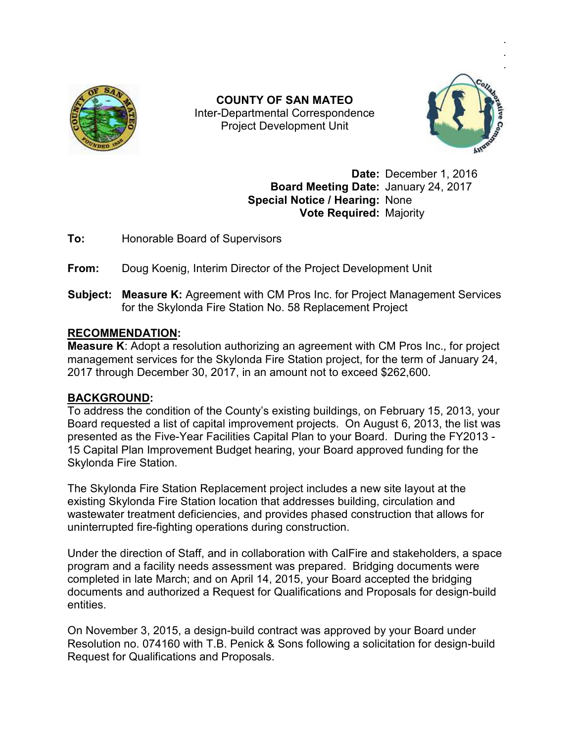

Inter Inter-Departmental Correspondence **COUNTY OF SAN MATEO**  Project Development Unit



.

**Date:** December 1, 2016 Board Meeting Date: January 24, 2017 **Special Notice / Hearing:** None **Vote Required:** Majority

**To:** Honorable Board of Supervisors

# **To:** Honorable Board of Supervisors<br>**From:** Doug Koenig, Interim Director of the Project Development Unit

**Subject: Measure K:** Agreement with CM Pros Inc. for Project Management Services for the Skylonda Fire Station No. 58 Replacement Project **From:** Doug Koenig, Interim Director of the Project Development Unit<br> **Subject: Measure K:** Agreement with CM Pros Inc. for Project Management Services<br>
for the Skylonda Fire Station No. 58 Replacement Project<br> **RECOMMEND** 

## **RECOMMENDATION:**

management services for the Skylonda Fire Station project, for the term of January 24, 2017 through December 30, 2017, in an amount not to exceed \$262,600.

### **BACKGROUND:**

To address the condition of the County's existing buildings, on February 15, 2013, your Board requested a list of capital improvement projects. On August 6, 2013, the list was presented as the Five-Year Facilities Capital Plan to your Board. During the FY2013 -15 Capital Plan Improvement Budget hearing, your Board approved funding for the Skylonda Fire Station. management services for the Skylonda Fire Station project, for the term of January<br>2017 through December 30, 2017, in an amount not to exceed \$262,600.<br>**BACKGROUND:**<br>To address the condition of the County's existing buildi

The Skylonda Fire Station Replacement project includes a new site layout at the 15 Capital Plan Improvement Budget hearing, your Board approved funding for<br>Skylonda Fire Station.<br>The Skylonda Fire Station Replacement project includes a new site layout at th<br>existing Skylonda Fire Station location that wastewater treatment deficiencies, and provides phased construction that allows for uninterrupted fire-fighting operations during construction.

Under the direction of Staff, and in collaboration with CalFire and stakeholders, a space wastewater treatment deficiencies, and provides phased construction that allows for<br>uninterrupted fire-fighting operations during construction.<br>Under the direction of Staff, and in collaboration with CalFire and stakeholde completed in late March; and on April 14, 2015, your Board accepted the bridging program and a facility needs assessment was prepared. Bridging documents were<br>completed in late March; and on April 14, 2015, your Board accepted the bridging<br>documents and authorized a Request for Qualifications and Prop entities. documents and authorized a Request for Qualifications and Proposals for design-b<br>entities.<br>On November 3, 2015, a design-build contract was approved by your Board under

On November 3, 2015, a design-build contract was approved by your Board under<br>Resolution no. 074160 with T.B. Penick & Sons following a solicitation for design-build Request for Qualifications and Proposals.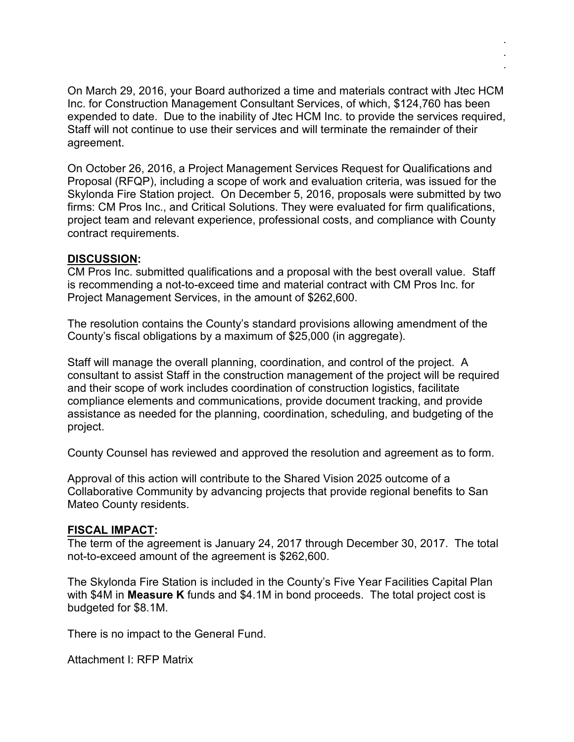On March 29, 2016, your Board authorized a time and materials contract with Jtec HCM Inc. for Construction Management Consultant Services, of which, \$124,760 has been expended to date. Due to the inability of Jtec HCM Inc. to provide the services required, Staff will not continue to use their services and will terminate the remainder of their agreement.

. . .

On October 26, 2016, a Project Management Services Request for Qualifications and Proposal (RFQP), including a scope of work and evaluation criteria, was issued for the Skylonda Fire Station project. On December 5, 2016, proposals were submitted by two firms: CM Pros Inc., and Critical Solutions. They were evaluated for firm qualifications, project team and relevant experience, professional costs, and compliance with County contract requirements.

#### **DISCUSSION:**

CM Pros Inc. submitted qualifications and a proposal with the best overall value. Staff is recommending a not-to-exceed time and material contract with CM Pros Inc. for Project Management Services, in the amount of \$262,600.

The resolution contains the County's standard provisions allowing amendment of the County's fiscal obligations by a maximum of \$25,000 (in aggregate).

Staff will manage the overall planning, coordination, and control of the project. A consultant to assist Staff in the construction management of the project will be required and their scope of work includes coordination of construction logistics, facilitate compliance elements and communications, provide document tracking, and provide assistance as needed for the planning, coordination, scheduling, and budgeting of the project.

County Counsel has reviewed and approved the resolution and agreement as to form.

Approval of this action will contribute to the Shared Vision 2025 outcome of a Collaborative Community by advancing projects that provide regional benefits to San Mateo County residents.

### **FISCAL IMPACT:**

The term of the agreement is January 24, 2017 through December 30, 2017. The total not-to-exceed amount of the agreement is \$262,600.

The Skylonda Fire Station is included in the County's Five Year Facilities Capital Plan with \$4M in **Measure K** funds and \$4.1M in bond proceeds. The total project cost is budgeted for \$8.1M.

There is no impact to the General Fund.

Attachment I: RFP Matrix